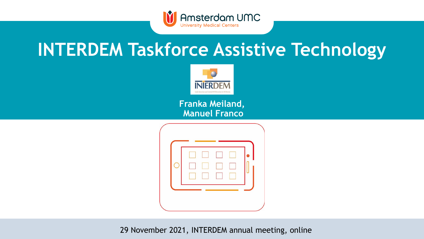

# **INTERDEM Taskforce Assistive Technology**



**Franka Meiland, Manuel Franco**



29 November 2021, INTERDEM annual meeting, online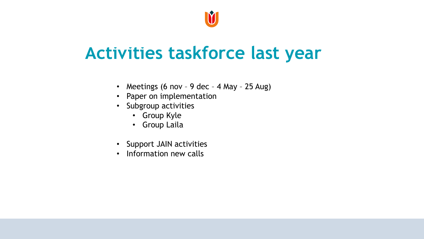

## **Activities taskforce last year**

- Meetings (6 nov 9 dec 4 May 25 Aug)
- Paper on implementation
- Subgroup activities
	- Group Kyle
	- Group Laila
- Support JAIN activities
- Information new calls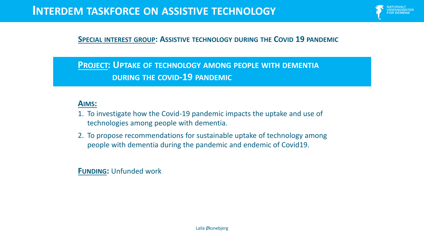

#### **SPECIAL INTEREST GROUP: ASSISTIVE TECHNOLOGY DURING THE COVID 19 PANDEMIC**

#### **PROJECT: UPTAKE OF TECHNOLOGY AMONG PEOPLE WITH DEMENTIA DURING THE COVID-19 PANDEMIC**

#### **AIMS:**

- 1. To investigate how the Covid-19 pandemic impacts the uptake and use of technologies among people with dementia.
- 2. To propose recommendations for sustainable uptake of technology among people with dementia during the pandemic and endemic of Covid19.

**FUNDING:** Unfunded work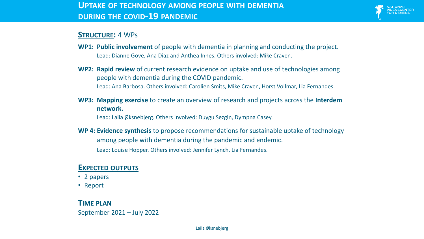

#### **STRUCTURE:** 4 WPs

- **WP1: Public involvement** of people with dementia in planning and conducting the project. Lead: Dianne Gove, Ana Diaz and Anthea Innes. Others involved: Mike Craven.
- **WP2: Rapid review** of current research evidence on uptake and use of technologies among people with dementia during the COVID pandemic. Lead: Ana Barbosa. Others involved: Carolien Smits, Mike Craven, Horst Vollmar, Lia Fernandes.
- **WP3: Mapping exercise** to create an overview of research and projects across the **Interdem network.**

Lead: Laila Øksnebjerg. Others involved: Duygu Sezgin, Dympna Casey.

**WP 4: Evidence synthesis** to propose recommendations for sustainable uptake of technology among people with dementia during the pandemic and endemic. Lead: Louise Hopper. Others involved: Jennifer Lynch, Lia Fernandes.

#### **EXPECTED OUTPUTS**

- 2 papers
- Report

#### **TIME PLAN** September 2021 – July 2022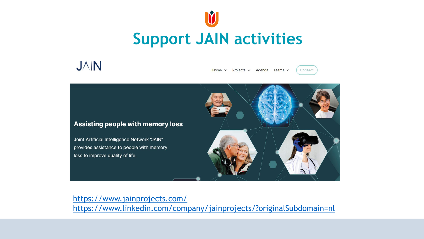

### **JAN**

 $Home \sim$ Projects v Agenda Teams v

Contact



<https://www.jainprojects.com/> <https://www.linkedin.com/company/jainprojects/?originalSubdomain=nl>